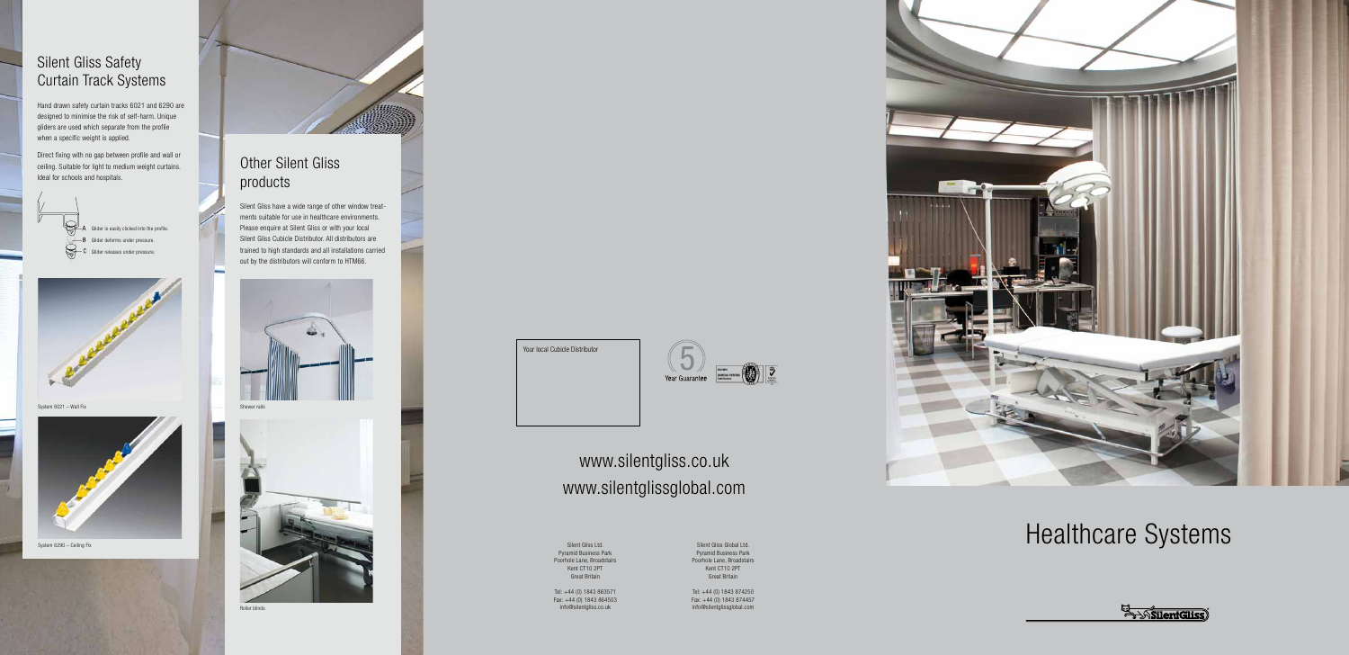#### Silent Gliss Safety Curtain Track Systems

Hand drawn safety curtain tracks 6021 and 6290 are designed to minimise the risk of self-harm. Unique gliders are used which separate from the profile when a specific weight is applied.

Direct fixing with no gap between profile and wall or ceiling. Suitable for light to medium weight curtains. Ideal for schools and hospitals.



Glider is easily clicked into the profile. Glider deforms under pressure. Glider releases under pressure.



System 6021 – Wall Fix



System 6290 – Ceiling Fix



Silent Gliss have a wide range of other window treatments suitable for use in healthcare environments. Please enquire at Silent Gliss or with your local Silent Gliss Cubicle Distributor. All distributors are trained to high standards and all installations carried out by the distributors will conform to HTM66.





Roller blinds

Your local Cubicle Distributor

## $\overline{\mathsf{C}}$ Year Guarantee

Pyramid Business Park Poorhole Lane, Broadstairs Kent CT10 2PT Great Britain

Tel: +44 (0) 1843 863571 Fax: +44 (0) 1843 864503 info@silentgliss.co.uk

Silent Gliss Global Ltd. Pyramid Business Park Poorhole Lane, Broadstairs Kent CT10 2PT Great Britain

# $\textbf{Health Care Systems} \label{def:1} \textbf{Sylent Gliss Ltd.}$

**En Anglish** 

Tel: +44 (0) 1843 874250 Fax: +44 (0) 1843 874457 info@silentglissglobal.com



### www.silentglissglobal.com www.silentgliss.co.uk